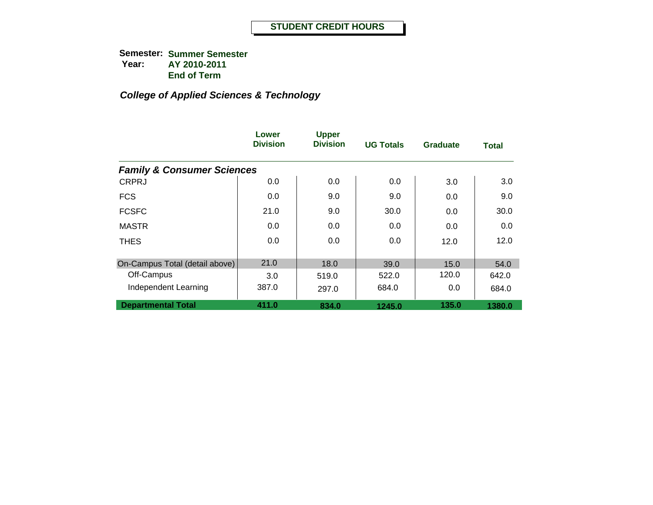|                                       | Lower<br><b>Division</b> | <b>Upper</b><br><b>Division</b> | <b>UG Totals</b> | <b>Graduate</b> | <b>Total</b> |
|---------------------------------------|--------------------------|---------------------------------|------------------|-----------------|--------------|
| <b>Family &amp; Consumer Sciences</b> |                          |                                 |                  |                 |              |
| <b>CRPRJ</b>                          | 0.0                      | 0.0                             | 0.0              | 3.0             | 3.0          |
| <b>FCS</b>                            | 0.0                      | 9.0                             | 9.0              | 0.0             | 9.0          |
| <b>FCSFC</b>                          | 21.0                     | 9.0                             | 30.0             | 0.0             | 30.0         |
| <b>MASTR</b>                          | 0.0                      | 0.0                             | 0.0              | 0.0             | 0.0          |
| <b>THES</b>                           | 0.0                      | 0.0                             | 0.0              | 12.0            | 12.0         |
| On-Campus Total (detail above)        | 21.0                     | 18.0                            | 39.0             | 15.0            | 54.0         |
| Off-Campus                            | 3.0                      | 519.0                           | 522.0            | 120.0           | 642.0        |
| Independent Learning                  | 387.0                    | 297.0                           | 684.0            | 0.0             | 684.0        |
| <b>Departmental Total</b>             | 411.0                    | 834.0                           | 1245.0           | 135.0           | 1380.0       |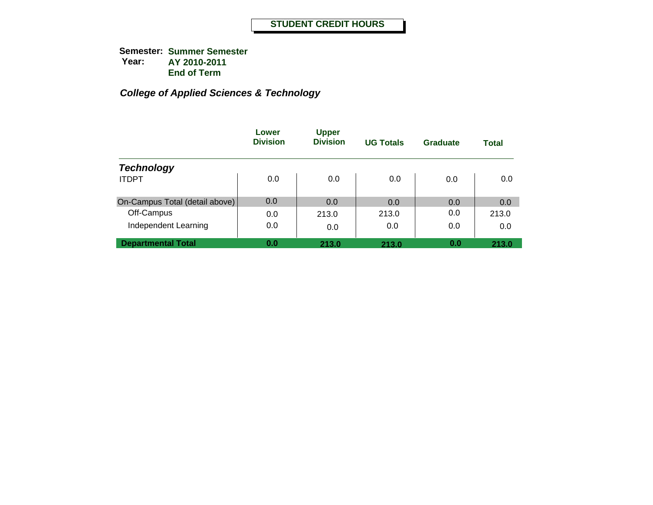|                                | Lower<br><b>Division</b> | <b>Upper</b><br><b>Division</b> | <b>UG Totals</b> | Graduate | Total |
|--------------------------------|--------------------------|---------------------------------|------------------|----------|-------|
| <b>Technology</b>              |                          |                                 |                  |          |       |
| <b>ITDPT</b>                   | 0.0                      | 0.0                             | 0.0              | 0.0      | 0.0   |
| On-Campus Total (detail above) | 0.0                      | 0.0                             | 0.0              | 0.0      | 0.0   |
| Off-Campus                     | 0.0                      | 213.0                           | 213.0            | 0.0      | 213.0 |
| Independent Learning           | 0.0                      | 0.0                             | 0.0              | 0.0      | 0.0   |
| <b>Departmental Total</b>      | 0.0                      | 213.0                           | 213.0            | 0.0      | 213.0 |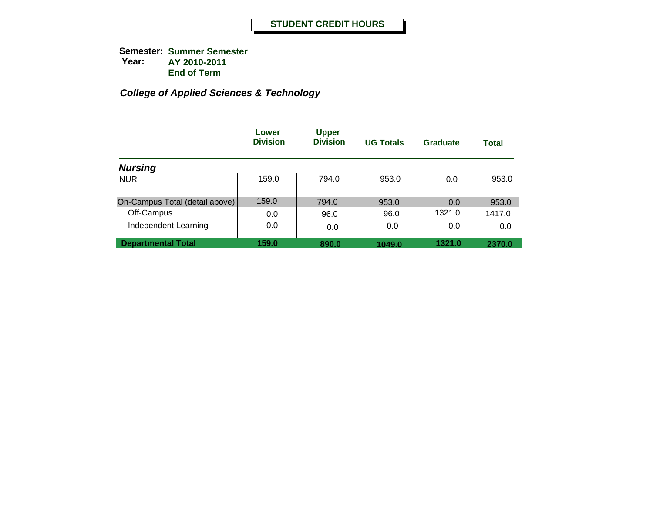|                                | Lower<br><b>Division</b> | <b>Upper</b><br><b>Division</b> | <b>UG Totals</b> | Graduate | <b>Total</b> |
|--------------------------------|--------------------------|---------------------------------|------------------|----------|--------------|
| <b>Nursing</b>                 |                          |                                 |                  |          |              |
| <b>NUR</b>                     | 159.0                    | 794.0                           | 953.0            | 0.0      | 953.0        |
| On-Campus Total (detail above) | 159.0                    | 794.0                           | 953.0            | 0.0      | 953.0        |
| Off-Campus                     | 0.0                      | 96.0                            | 96.0             | 1321.0   | 1417.0       |
| Independent Learning           | 0.0                      | 0.0                             | 0.0              | 0.0      | 0.0          |
| <b>Departmental Total</b>      | 159.0                    | 890.0                           | 1049.0           | 1321.0   | 2370.0       |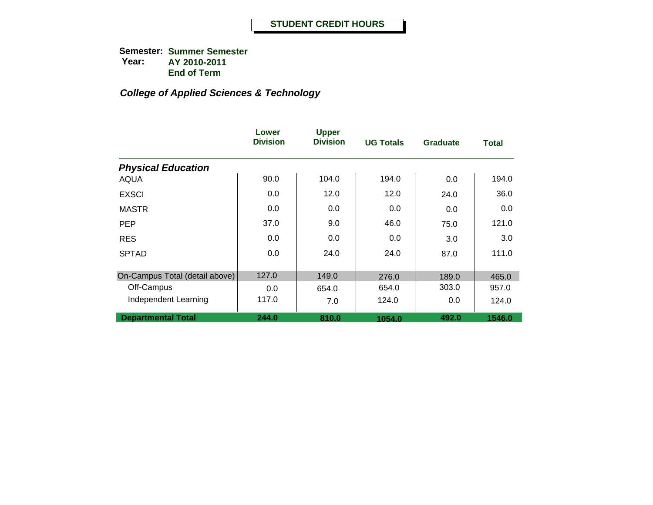|                                | Lower<br><b>Division</b> | <b>Upper</b><br><b>Division</b> | <b>UG Totals</b> | <b>Graduate</b> | <b>Total</b> |
|--------------------------------|--------------------------|---------------------------------|------------------|-----------------|--------------|
| <b>Physical Education</b>      |                          |                                 |                  |                 |              |
| AQUA                           | 90.0                     | 104.0                           | 194.0            | 0.0             | 194.0        |
| <b>EXSCI</b>                   | 0.0                      | 12.0                            | 12.0             | 24.0            | 36.0         |
| <b>MASTR</b>                   | 0.0                      | 0.0                             | 0.0              | 0.0             | 0.0          |
| <b>PEP</b>                     | 37.0                     | 9.0                             | 46.0             | 75.0            | 121.0        |
| <b>RES</b>                     | 0.0                      | 0.0                             | 0.0              | 3.0             | 3.0          |
| <b>SPTAD</b>                   | 0.0                      | 24.0                            | 24.0             | 87.0            | 111.0        |
|                                |                          |                                 |                  |                 |              |
| On-Campus Total (detail above) | 127.0                    | 149.0                           | 276.0            | 189.0           | 465.0        |
| Off-Campus                     | 0.0                      | 654.0                           | 654.0            | 303.0           | 957.0        |
| Independent Learning           | 117.0                    | 7.0                             | 124.0            | 0.0             | 124.0        |
| <b>Departmental Total</b>      | 244.0                    | 810.0                           | 1054.0           | 492.0           | 1546.0       |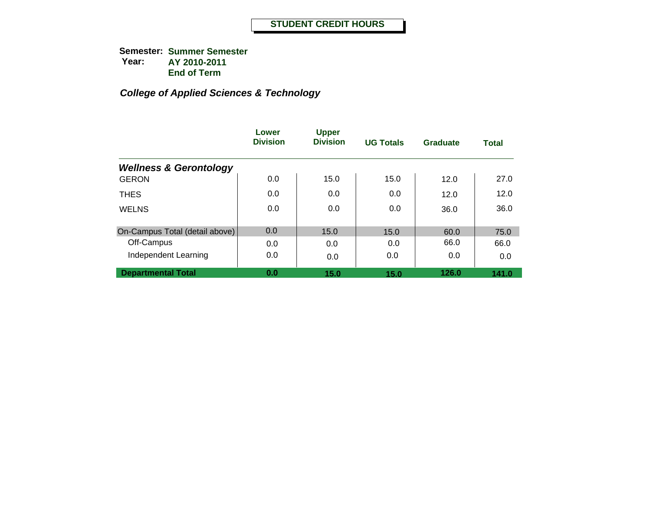|                                   | Lower<br><b>Division</b> | <b>Upper</b><br><b>Division</b> | <b>UG Totals</b> | Graduate | <b>Total</b> |
|-----------------------------------|--------------------------|---------------------------------|------------------|----------|--------------|
| <b>Wellness &amp; Gerontology</b> |                          |                                 |                  |          |              |
| <b>GERON</b>                      | 0.0                      | 15.0                            | 15.0             | 12.0     | 27.0         |
| <b>THES</b>                       | 0.0                      | 0.0                             | 0.0              | 12.0     | 12.0         |
| <b>WELNS</b>                      | 0.0                      | 0.0                             | 0.0              | 36.0     | 36.0         |
|                                   |                          |                                 |                  |          |              |
| On-Campus Total (detail above)    | 0.0                      | 15.0                            | 15.0             | 60.0     | 75.0         |
| Off-Campus                        | 0.0                      | 0.0                             | 0.0              | 66.0     | 66.0         |
| Independent Learning              | 0.0                      | 0.0                             | 0.0              | 0.0      | 0.0          |
| <b>Departmental Total</b>         | 0.0                      | 15.0                            | 15.0             | 126.0    | 141.0        |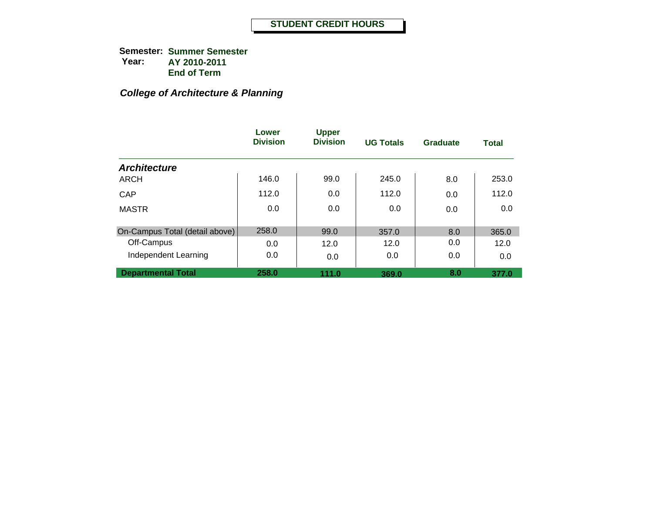## *College of Architecture & Planning*

|                                | Lower<br><b>Division</b> | <b>Upper</b><br><b>Division</b> | <b>UG Totals</b> | Graduate | <b>Total</b> |
|--------------------------------|--------------------------|---------------------------------|------------------|----------|--------------|
| <b>Architecture</b>            |                          |                                 |                  |          |              |
| ARCH                           | 146.0                    | 99.0                            | 245.0            | 8.0      | 253.0        |
| CAP                            | 112.0                    | 0.0                             | 112.0            | 0.0      | 112.0        |
| <b>MASTR</b>                   | 0.0                      | 0.0                             | 0.0              | 0.0      | 0.0          |
| On-Campus Total (detail above) | 258.0                    | 99.0                            | 357.0            | 8.0      | 365.0        |
| Off-Campus                     | 0.0                      | 12.0                            | 12.0             | 0.0      | 12.0         |
| Independent Learning           | 0.0                      | 0.0                             | 0.0              | 0.0      | 0.0          |
| <b>Departmental Total</b>      | 258.0                    | 111.0                           | 369.0            | 8.0      | 377.0        |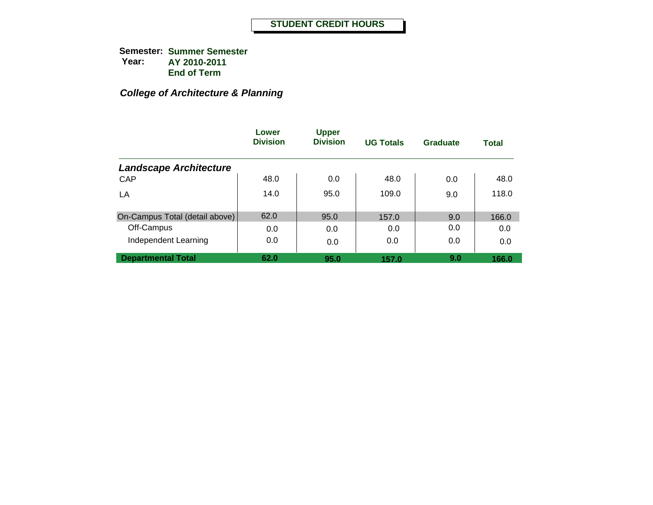## *College of Architecture & Planning*

|                                | Lower<br><b>Division</b> | <b>Upper</b><br><b>Division</b> | <b>UG Totals</b> | <b>Graduate</b> | <b>Total</b> |
|--------------------------------|--------------------------|---------------------------------|------------------|-----------------|--------------|
| <b>Landscape Architecture</b>  |                          |                                 |                  |                 |              |
| CAP                            | 48.0                     | 0.0                             | 48.0             | 0.0             | 48.0         |
| LA                             | 14.0                     | 95.0                            | 109.0            | 9.0             | 118.0        |
| On-Campus Total (detail above) | 62.0                     | 95.0                            | 157.0            | 9.0             | 166.0        |
| Off-Campus                     | 0.0                      | 0.0                             | 0.0              | 0.0             | 0.0          |
| Independent Learning           | 0.0                      | 0.0                             | 0.0              | 0.0             | 0.0          |
| <b>Departmental Total</b>      | 62.0                     | 95.0                            | 157.0            | 9.0             | 166.0        |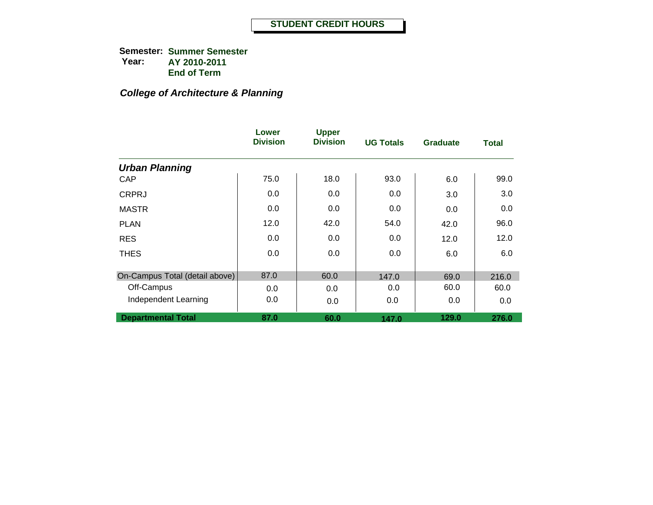## *College of Architecture & Planning*

|                                | Lower<br><b>Division</b> | <b>Upper</b><br><b>Division</b> | <b>UG Totals</b> | <b>Graduate</b> | <b>Total</b> |
|--------------------------------|--------------------------|---------------------------------|------------------|-----------------|--------------|
| <b>Urban Planning</b>          |                          |                                 |                  |                 |              |
| CAP                            | 75.0                     | 18.0                            | 93.0             | 6.0             | 99.0         |
| <b>CRPRJ</b>                   | 0.0                      | 0.0                             | 0.0              | 3.0             | 3.0          |
| <b>MASTR</b>                   | 0.0                      | 0.0                             | 0.0              | 0.0             | 0.0          |
| <b>PLAN</b>                    | 12.0                     | 42.0                            | 54.0             | 42.0            | 96.0         |
| <b>RES</b>                     | 0.0                      | 0.0                             | 0.0              | 12.0            | 12.0         |
| <b>THES</b>                    | 0.0                      | 0.0                             | 0.0              | 6.0             | 6.0          |
|                                |                          |                                 |                  |                 |              |
| On-Campus Total (detail above) | 87.0                     | 60.0                            | 147.0            | 69.0            | 216.0        |
| Off-Campus                     | 0.0                      | 0.0                             | 0.0              | 60.0            | 60.0         |
| Independent Learning           | 0.0                      | 0.0                             | 0.0              | 0.0             | 0.0          |
| <b>Departmental Total</b>      | 87.0                     | 60.0                            | 147.0            | 129.0           | 276.0        |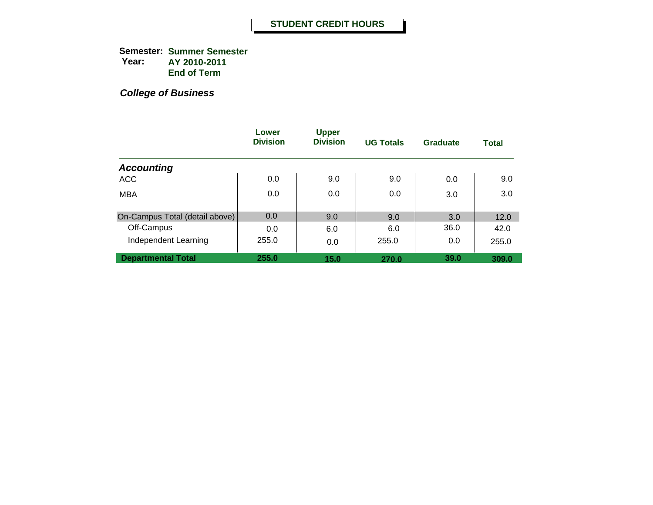**Semester: Summer Semester Year: AY 2010-2011 End of Term**

|                                | Lower<br><b>Division</b> | <b>Upper</b><br><b>Division</b> | <b>UG Totals</b> | <b>Graduate</b> | <b>Total</b> |
|--------------------------------|--------------------------|---------------------------------|------------------|-----------------|--------------|
| <b>Accounting</b>              |                          |                                 |                  |                 |              |
| <b>ACC</b>                     | 0.0                      | 9.0                             | 9.0              | 0.0             | 9.0          |
| <b>MBA</b>                     | 0.0                      | 0.0                             | 0.0              | 3.0             | 3.0          |
| On-Campus Total (detail above) | 0.0                      | 9.0                             | 9.0              | 3.0             | 12.0         |
| Off-Campus                     | 0.0                      | 6.0                             | 6.0              | 36.0            | 42.0         |
| Independent Learning           | 255.0                    | 0.0                             | 255.0            | 0.0             | 255.0        |
| <b>Departmental Total</b>      | 255.0                    | 15.0                            | 270.0            | 39.0            | 309.0        |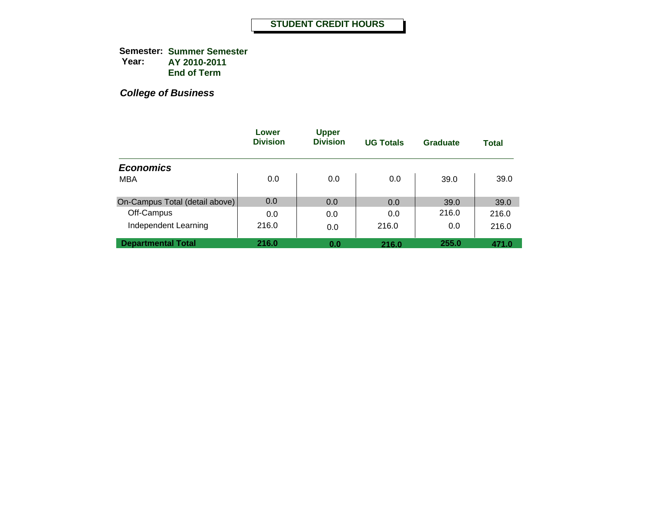**Semester: Summer Semester Year: AY 2010-2011 End of Term**

|                                | Lower<br><b>Division</b> | <b>Upper</b><br><b>Division</b> | <b>UG Totals</b> | Graduate | Total |
|--------------------------------|--------------------------|---------------------------------|------------------|----------|-------|
| <b>Economics</b>               |                          |                                 |                  |          |       |
| <b>MBA</b>                     | 0.0                      | 0.0                             | 0.0              | 39.0     | 39.0  |
| On-Campus Total (detail above) | 0.0                      | 0.0                             | 0.0              | 39.0     | 39.0  |
| Off-Campus                     | 0.0                      | 0.0                             | 0.0              | 216.0    | 216.0 |
| Independent Learning           | 216.0                    | 0.0                             | 216.0            | 0.0      | 216.0 |
| <b>Departmental Total</b>      | 216.0                    | 0.0                             | 216.0            | 255.0    | 471.0 |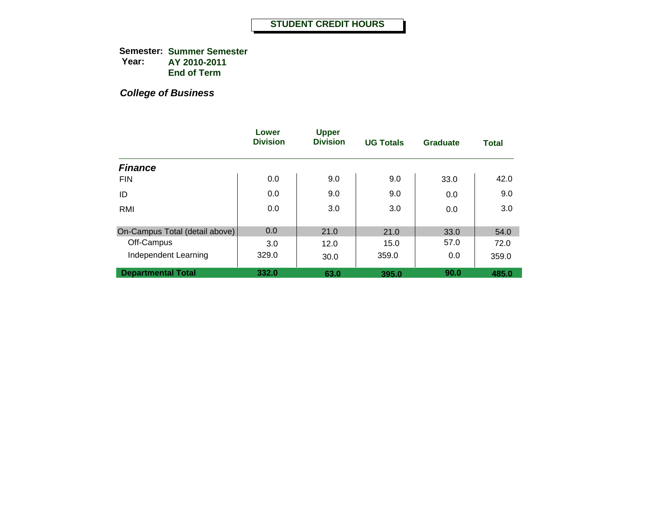**Semester: Summer Semester Year: AY 2010-2011 End of Term**

|                                | Lower<br><b>Division</b> | <b>Upper</b><br><b>Division</b> | <b>UG Totals</b> | Graduate | <b>Total</b> |
|--------------------------------|--------------------------|---------------------------------|------------------|----------|--------------|
| <b>Finance</b>                 |                          |                                 |                  |          |              |
| <b>FIN</b>                     | 0.0                      | 9.0                             | 9.0              | 33.0     | 42.0         |
| ID                             | 0.0                      | 9.0                             | 9.0              | 0.0      | 9.0          |
| RMI                            | 0.0                      | 3.0                             | 3.0              | 0.0      | 3.0          |
|                                |                          |                                 |                  |          |              |
| On-Campus Total (detail above) | 0.0                      | 21.0                            | 21.0             | 33.0     | 54.0         |
| Off-Campus                     | 3.0                      | 12.0                            | 15.0             | 57.0     | 72.0         |
| Independent Learning           | 329.0                    | 30.0                            | 359.0            | 0.0      | 359.0        |
| <b>Departmental Total</b>      | 332.0                    | 63.0                            | 395.0            | 90.0     | 485.0        |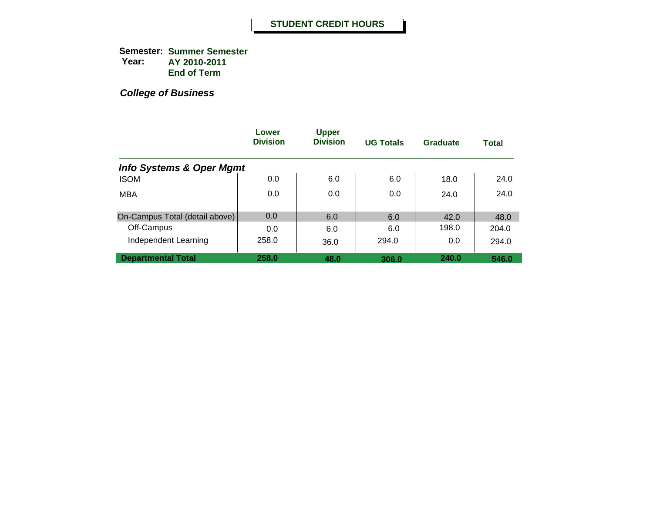**Semester: Summer Semester Year: AY 2010-2011 End of Term**

|                                     | Lower<br><b>Division</b> | <b>Upper</b><br><b>Division</b> | <b>UG Totals</b> | <b>Graduate</b> | <b>Total</b> |
|-------------------------------------|--------------------------|---------------------------------|------------------|-----------------|--------------|
| <b>Info Systems &amp; Oper Mgmt</b> |                          |                                 |                  |                 |              |
| <b>ISOM</b>                         | 0.0                      | 6.0                             | 6.0              | 18.0            | 24.0         |
| <b>MBA</b>                          | 0.0                      | 0.0                             | 0.0              | 24.0            | 24.0         |
| On-Campus Total (detail above)      | 0.0                      | 6.0                             | 6.0              | 42.0            | 48.0         |
| Off-Campus                          | 0.0                      | 6.0                             | 6.0              | 198.0           | 204.0        |
| Independent Learning                | 258.0                    | 36.0                            | 294.0            | 0.0             | 294.0        |
| <b>Departmental Total</b>           | 258.0                    | 48.0                            | 306.0            | 240.0           | 546.0        |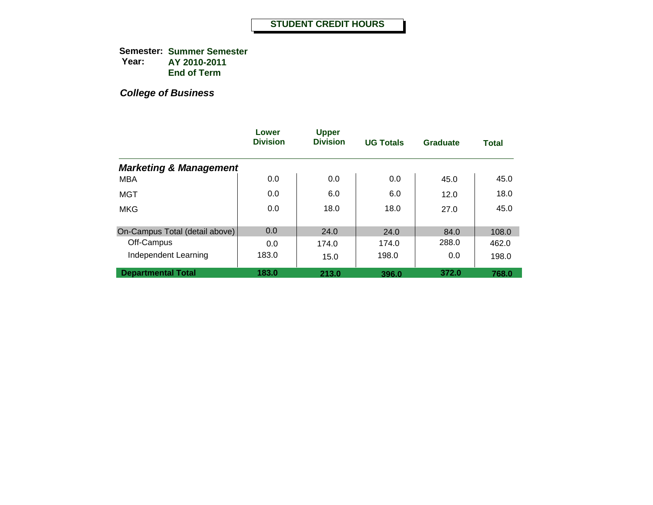**Semester: Summer Semester Year: AY 2010-2011 End of Term**

|                                   | Lower<br><b>Division</b> | <b>Upper</b><br><b>Division</b> | <b>UG Totals</b> | Graduate | <b>Total</b> |
|-----------------------------------|--------------------------|---------------------------------|------------------|----------|--------------|
| <b>Marketing &amp; Management</b> |                          |                                 |                  |          |              |
| <b>MBA</b>                        | 0.0                      | 0.0                             | 0.0              | 45.0     | 45.0         |
| MGT                               | 0.0                      | 6.0                             | 6.0              | 12.0     | 18.0         |
| <b>MKG</b>                        | 0.0                      | 18.0                            | 18.0             | 27.0     | 45.0         |
| On-Campus Total (detail above)    | 0.0                      | 24.0                            | 24.0             | 84.0     | 108.0        |
| Off-Campus                        | 0.0                      | 174.0                           | 174.0            | 288.0    | 462.0        |
| Independent Learning              | 183.0                    | 15.0                            | 198.0            | 0.0      | 198.0        |
| <b>Departmental Total</b>         | 183.0                    | 213.0                           | 396.0            | 372.0    | 768.0        |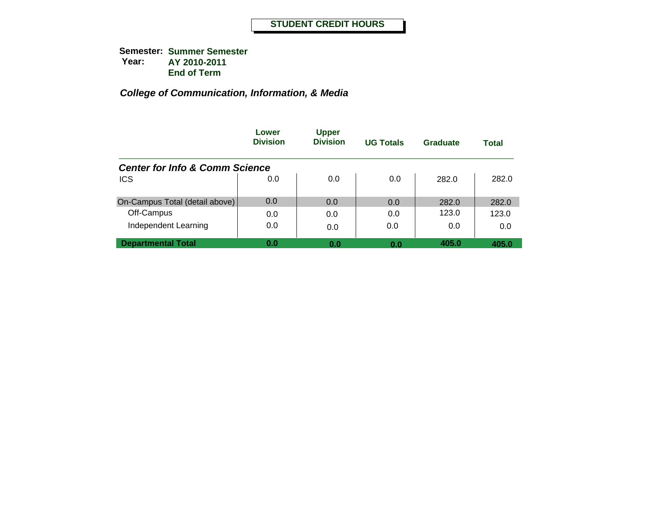|                                           | Lower<br><b>Division</b> | <b>Upper</b><br><b>Division</b> | <b>UG Totals</b> | Graduate | <b>Total</b> |
|-------------------------------------------|--------------------------|---------------------------------|------------------|----------|--------------|
| <b>Center for Info &amp; Comm Science</b> |                          |                                 |                  |          |              |
| <b>ICS</b>                                | 0.0                      | 0.0                             | 0.0              | 282.0    | 282.0        |
| On-Campus Total (detail above)            | 0.0                      | 0.0                             | 0.0              | 282.0    | 282.0        |
| Off-Campus                                | 0.0                      | 0.0                             | 0.0              | 123.0    | 123.0        |
| Independent Learning                      | 0.0                      | 0.0                             | 0.0              | 0.0      | 0.0          |
| <b>Departmental Total</b>                 | 0.0                      | 0.0                             | 0.0              | 405.0    | 405.0        |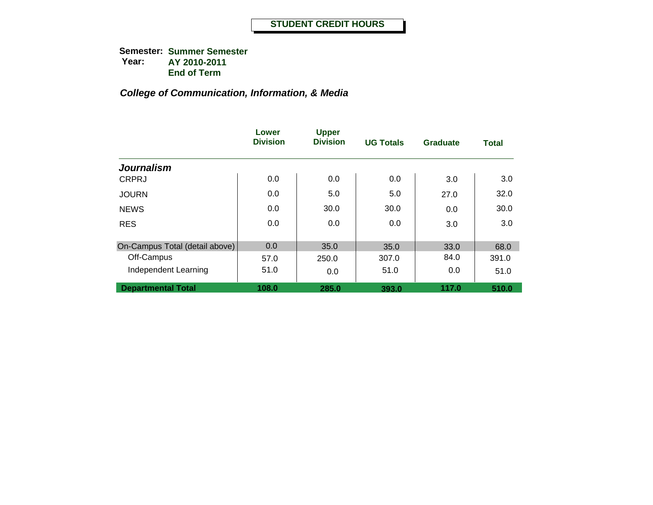|                                | Lower<br><b>Division</b> | <b>Upper</b><br><b>Division</b> | <b>UG Totals</b> | <b>Graduate</b> | <b>Total</b> |
|--------------------------------|--------------------------|---------------------------------|------------------|-----------------|--------------|
| <b>Journalism</b>              |                          |                                 |                  |                 |              |
| <b>CRPRJ</b>                   | 0.0                      | 0.0                             | 0.0              | 3.0             | 3.0          |
| <b>JOURN</b>                   | 0.0                      | 5.0                             | 5.0              | 27.0            | 32.0         |
| <b>NEWS</b>                    | 0.0                      | 30.0                            | 30.0             | 0.0             | 30.0         |
| <b>RES</b>                     | 0.0                      | 0.0                             | 0.0              | 3.0             | 3.0          |
| On-Campus Total (detail above) | 0.0                      | 35.0                            | 35.0             | 33.0            | 68.0         |
| Off-Campus                     | 57.0                     | 250.0                           | 307.0            | 84.0            | 391.0        |
| Independent Learning           | 51.0                     | 0.0                             | 51.0             | 0.0             | 51.0         |
| <b>Departmental Total</b>      | 108.0                    | 285.0                           | 393.0            | 117.0           | 510.0        |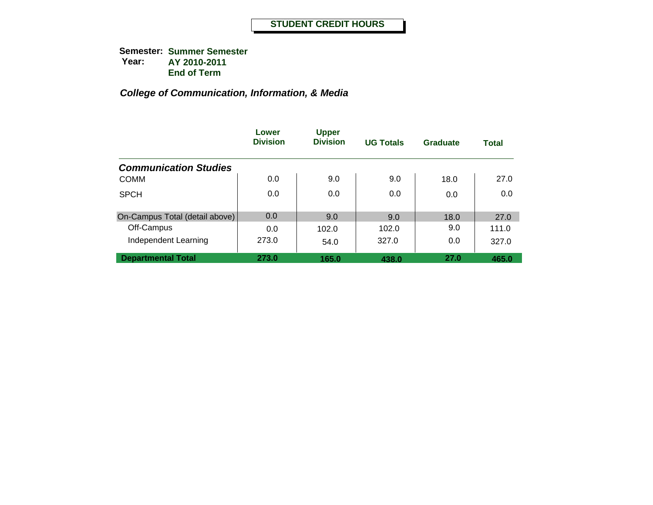|                                | Lower<br><b>Division</b> | <b>Upper</b><br><b>Division</b> | <b>UG Totals</b> | Graduate | <b>Total</b> |
|--------------------------------|--------------------------|---------------------------------|------------------|----------|--------------|
| <b>Communication Studies</b>   |                          |                                 |                  |          |              |
| <b>COMM</b>                    | 0.0                      | 9.0                             | 9.0              | 18.0     | 27.0         |
| <b>SPCH</b>                    | 0.0                      | 0.0                             | 0.0              | 0.0      | 0.0          |
| On-Campus Total (detail above) | 0.0                      | 9.0                             | 9.0              | 18.0     | 27.0         |
| Off-Campus                     | 0.0                      | 102.0                           | 102.0            | 9.0      | 111.0        |
| Independent Learning           | 273.0                    | 54.0                            | 327.0            | 0.0      | 327.0        |
| <b>Departmental Total</b>      | 273.0                    | 165.0                           | 438.0            | 27.0     | 465.0        |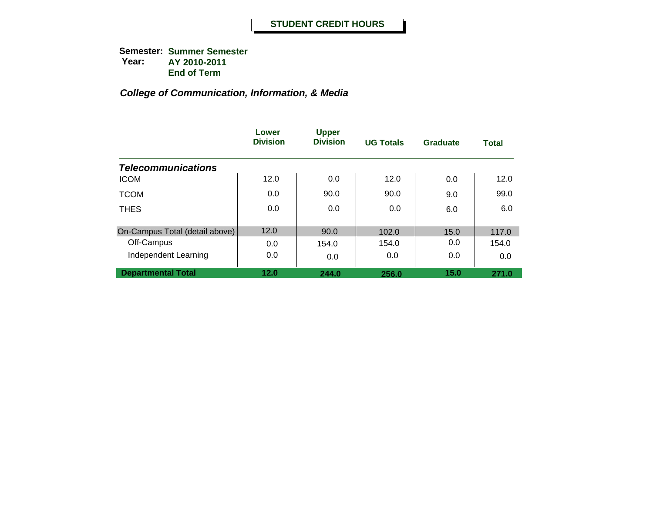|                                | Lower<br><b>Division</b> | <b>Upper</b><br><b>Division</b> | <b>UG Totals</b> | Graduate | <b>Total</b> |
|--------------------------------|--------------------------|---------------------------------|------------------|----------|--------------|
| <b>Telecommunications</b>      |                          |                                 |                  |          |              |
| <b>ICOM</b>                    | 12.0                     | 0.0                             | 12.0             | 0.0      | 12.0         |
| <b>TCOM</b>                    | 0.0                      | 90.0                            | 90.0             | 9.0      | 99.0         |
| <b>THES</b>                    | 0.0                      | 0.0                             | 0.0              | 6.0      | 6.0          |
|                                |                          |                                 |                  |          |              |
| On-Campus Total (detail above) | 12.0                     | 90.0                            | 102.0            | 15.0     | 117.0        |
| Off-Campus                     | 0.0                      | 154.0                           | 154.0            | 0.0      | 154.0        |
| Independent Learning           | 0.0                      | 0.0                             | 0.0              | 0.0      | 0.0          |
| <b>Departmental Total</b>      | 12.0                     | 244.0                           | 256.0            | 15.0     | 271.0        |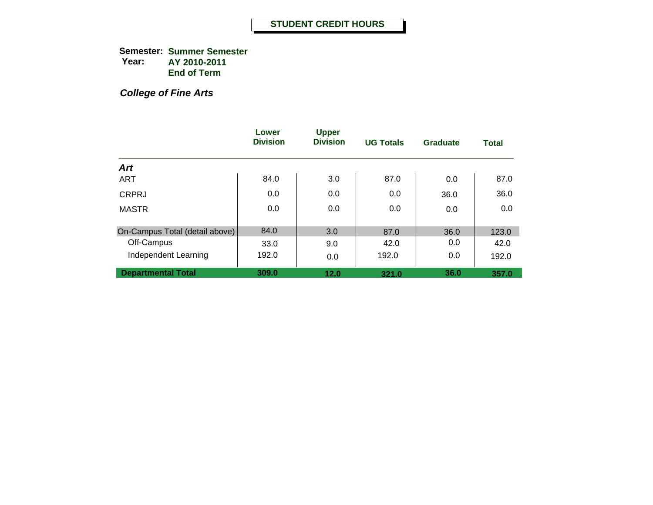**Semester: Summer Semester Year: AY 2010-2011 End of Term**

*College of Fine Arts*

|                                | Lower<br><b>Division</b> | <b>Upper</b><br><b>Division</b> | <b>UG Totals</b> | Graduate | <b>Total</b> |
|--------------------------------|--------------------------|---------------------------------|------------------|----------|--------------|
| <b>Art</b>                     |                          |                                 |                  |          |              |
| <b>ART</b>                     | 84.0                     | 3.0                             | 87.0             | 0.0      | 87.0         |
| <b>CRPRJ</b>                   | 0.0                      | 0.0                             | 0.0              | 36.0     | 36.0         |
| <b>MASTR</b>                   | 0.0                      | 0.0                             | 0.0              | 0.0      | 0.0          |
| On-Campus Total (detail above) | 84.0                     | 3.0                             | 87.0             | 36.0     | 123.0        |
| Off-Campus                     | 33.0                     | 9.0                             | 42.0             | 0.0      | 42.0         |
| Independent Learning           | 192.0                    | 0.0                             | 192.0            | 0.0      | 192.0        |
| <b>Departmental Total</b>      | 309.0                    | 12.0                            | 321.0            | 36.0     | 357.0        |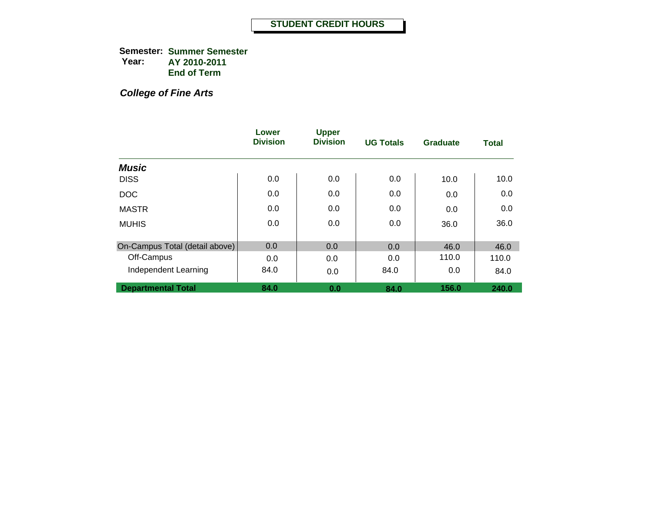**Semester: Summer Semester Year: AY 2010-2011 End of Term**

## *College of Fine Arts*

|                                | Lower<br><b>Division</b> | <b>Upper</b><br><b>Division</b> | <b>UG Totals</b> | <b>Graduate</b> | <b>Total</b> |
|--------------------------------|--------------------------|---------------------------------|------------------|-----------------|--------------|
| <b>Music</b>                   |                          |                                 |                  |                 |              |
| <b>DISS</b>                    | 0.0                      | 0.0                             | 0.0              | 10.0            | 10.0         |
| <b>DOC</b>                     | 0.0                      | 0.0                             | 0.0              | 0.0             | 0.0          |
| <b>MASTR</b>                   | 0.0                      | 0.0                             | 0.0              | 0.0             | 0.0          |
| <b>MUHIS</b>                   | 0.0                      | 0.0                             | 0.0              | 36.0            | 36.0         |
| On-Campus Total (detail above) | 0.0                      | 0.0                             | 0.0              | 46.0            | 46.0         |
| Off-Campus                     | 0.0                      | 0.0                             | 0.0              | 110.0           | 110.0        |
| Independent Learning           | 84.0                     | 0.0                             | 84.0             | 0.0             | 84.0         |
| <b>Departmental Total</b>      | 84.0                     | 0.0                             | 84.0             | 156.0           | 240.0        |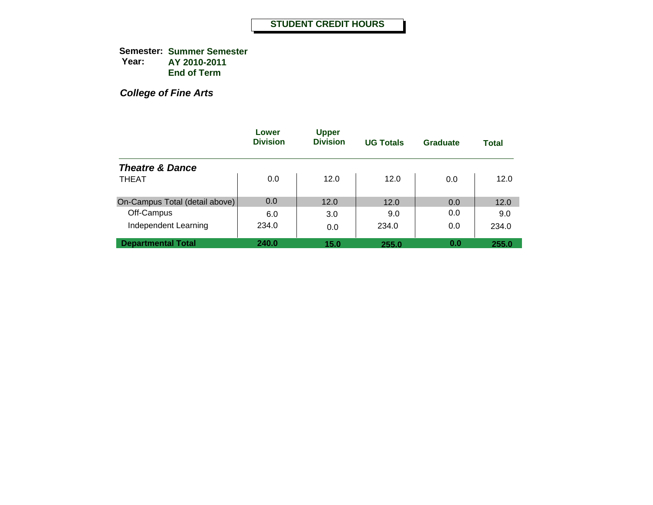**Semester: Summer Semester Year: AY 2010-2011 End of Term**

*College of Fine Arts*

|                                | Lower<br><b>Division</b> | <b>Upper</b><br><b>Division</b> | <b>UG Totals</b> | Graduate | <b>Total</b> |
|--------------------------------|--------------------------|---------------------------------|------------------|----------|--------------|
| <b>Theatre &amp; Dance</b>     |                          |                                 |                  |          |              |
| <b>THEAT</b>                   | 0.0                      | 12.0                            | 12.0             | 0.0      | 12.0         |
| On-Campus Total (detail above) | 0.0                      | 12.0                            | 12.0             | 0.0      | 12.0         |
| Off-Campus                     | 6.0                      | 3.0                             | 9.0              | 0.0      | 9.0          |
| Independent Learning           | 234.0                    | 0.0                             | 234.0            | 0.0      | 234.0        |
| <b>Departmental Total</b>      | 240.0                    | 15.0                            | 255.0            | 0.0      | 255.0        |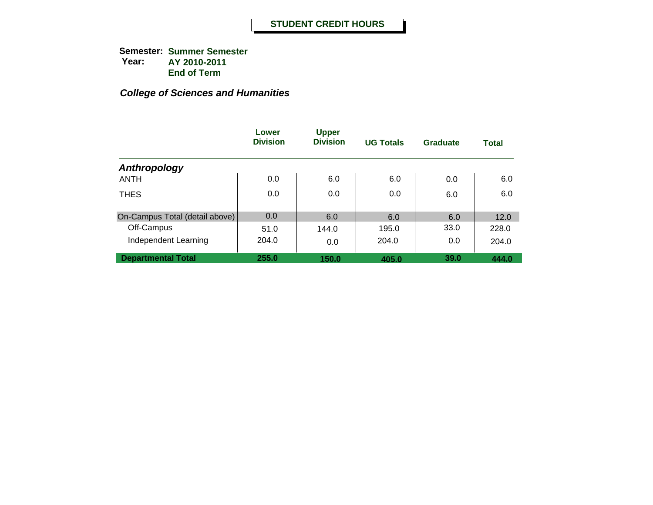|                                | Lower<br><b>Division</b> | <b>Upper</b><br><b>Division</b> | <b>UG Totals</b> | <b>Graduate</b> | <b>Total</b> |
|--------------------------------|--------------------------|---------------------------------|------------------|-----------------|--------------|
| Anthropology                   |                          |                                 |                  |                 |              |
| <b>ANTH</b>                    | 0.0                      | 6.0                             | 6.0              | 0.0             | 6.0          |
| <b>THES</b>                    | 0.0                      | 0.0                             | 0.0              | 6.0             | 6.0          |
| On-Campus Total (detail above) | 0.0                      | 6.0                             | 6.0              | 6.0             | 12.0         |
| Off-Campus                     | 51.0                     | 144.0                           | 195.0            | 33.0            | 228.0        |
| Independent Learning           | 204.0                    | 0.0                             | 204.0            | 0.0             | 204.0        |
| <b>Departmental Total</b>      | 255.0                    | 150.0                           | 405.0            | 39.0            | 444.0        |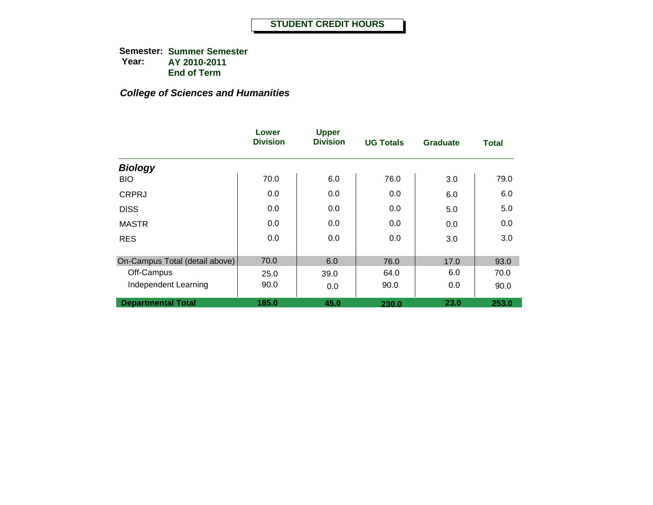|                                | Lower<br><b>Division</b> | <b>Upper</b><br><b>Division</b> | <b>UG Totals</b> | <b>Graduate</b> | <b>Total</b> |
|--------------------------------|--------------------------|---------------------------------|------------------|-----------------|--------------|
| <b>Biology</b>                 |                          |                                 |                  |                 |              |
| <b>BIO</b>                     | 70.0                     | 6.0                             | 76.0             | 3.0             | 79.0         |
| <b>CRPRJ</b>                   | 0.0                      | 0.0                             | 0.0              | 6.0             | 6.0          |
| <b>DISS</b>                    | 0.0                      | 0.0                             | 0.0              | 5.0             | 5.0          |
| <b>MASTR</b>                   | 0.0                      | 0.0                             | 0.0              | 0.0             | 0.0          |
| <b>RES</b>                     | 0.0                      | 0.0                             | 0.0              | 3.0             | 3.0          |
| On-Campus Total (detail above) | 70.0                     | 6.0                             | 76.0             | 17.0            | 93.0         |
| Off-Campus                     | 25.0                     | 39.0                            | 64.0             | 6.0             | 70.0         |
| Independent Learning           | 90.0                     | 0.0                             | 90.0             | 0.0             | 90.0         |
| <b>Departmental Total</b>      | 185.0                    | 45.0                            | 230.0            | 23.0            | 253.0        |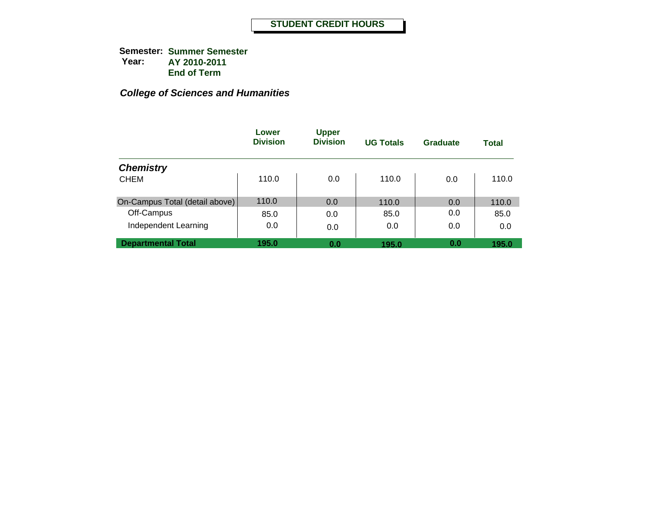|                                | Lower<br><b>Division</b> | <b>Upper</b><br><b>Division</b> | <b>UG Totals</b> | Graduate | <b>Total</b> |
|--------------------------------|--------------------------|---------------------------------|------------------|----------|--------------|
| <b>Chemistry</b>               |                          |                                 |                  |          |              |
| <b>CHEM</b>                    | 110.0                    | 0.0                             | 110.0            | 0.0      | 110.0        |
| On-Campus Total (detail above) | 110.0                    | 0.0                             | 110.0            | 0.0      | 110.0        |
| Off-Campus                     | 85.0                     | 0.0                             | 85.0             | 0.0      | 85.0         |
| Independent Learning           | 0.0                      | 0.0                             | 0.0              | 0.0      | 0.0          |
| <b>Departmental Total</b>      | 195.0                    | 0.0                             | 195.0            | 0.0      | 195.0        |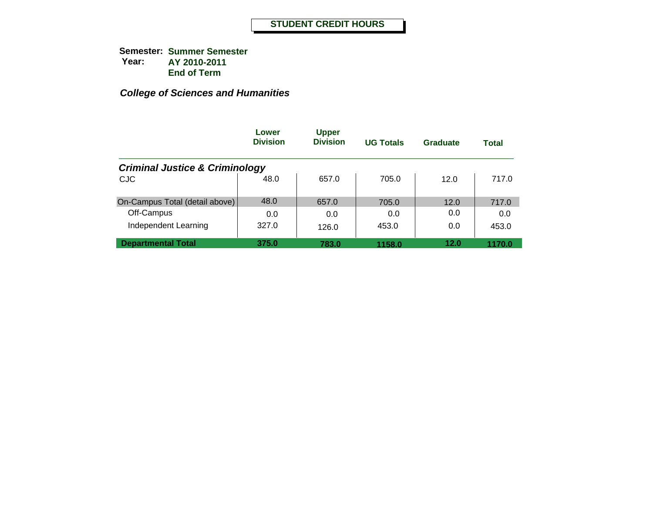|                                           | Lower<br><b>Division</b> | <b>Upper</b><br><b>Division</b> | <b>UG Totals</b> | Graduate | Total  |
|-------------------------------------------|--------------------------|---------------------------------|------------------|----------|--------|
| <b>Criminal Justice &amp; Criminology</b> |                          |                                 |                  |          |        |
| <b>CJC</b>                                | 48.0                     | 657.0                           | 705.0            | 12.0     | 717.0  |
| On-Campus Total (detail above)            | 48.0                     | 657.0                           | 705.0            | 12.0     | 717.0  |
| Off-Campus                                | 0.0                      | 0.0                             | 0.0              | 0.0      | 0.0    |
| Independent Learning                      | 327.0                    | 126.0                           | 453.0            | 0.0      | 453.0  |
| <b>Departmental Total</b>                 | 375.0                    | 783.0                           | 1158.0           | 12.0     | 1170.0 |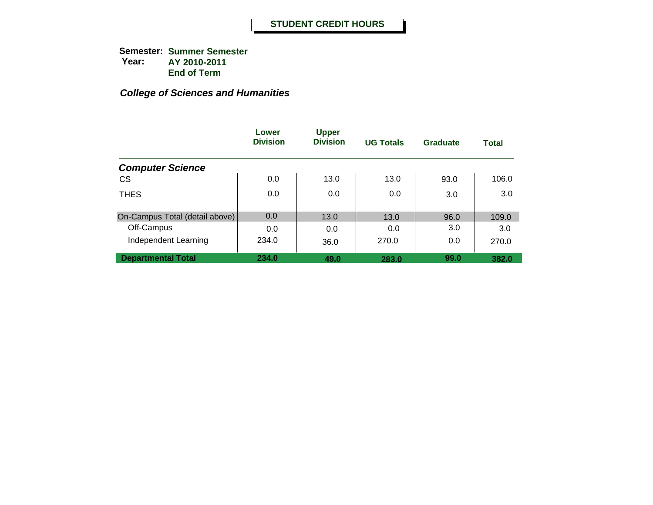|                                | Lower<br><b>Division</b> | <b>Upper</b><br><b>Division</b> | <b>UG Totals</b> | <b>Graduate</b> | <b>Total</b> |
|--------------------------------|--------------------------|---------------------------------|------------------|-----------------|--------------|
| <b>Computer Science</b>        |                          |                                 |                  |                 |              |
| <b>CS</b>                      | 0.0                      | 13.0                            | 13.0             | 93.0            | 106.0        |
| <b>THES</b>                    | 0.0                      | 0.0                             | 0.0              | 3.0             | 3.0          |
| On-Campus Total (detail above) | 0.0                      | 13.0                            | 13.0             | 96.0            | 109.0        |
| Off-Campus                     | 0.0                      | 0.0                             | 0.0              | 3.0             | 3.0          |
| Independent Learning           | 234.0                    | 36.0                            | 270.0            | 0.0             | 270.0        |
| <b>Departmental Total</b>      | 234.0                    | 49.0                            | 283.0            | 99.0            | 382.0        |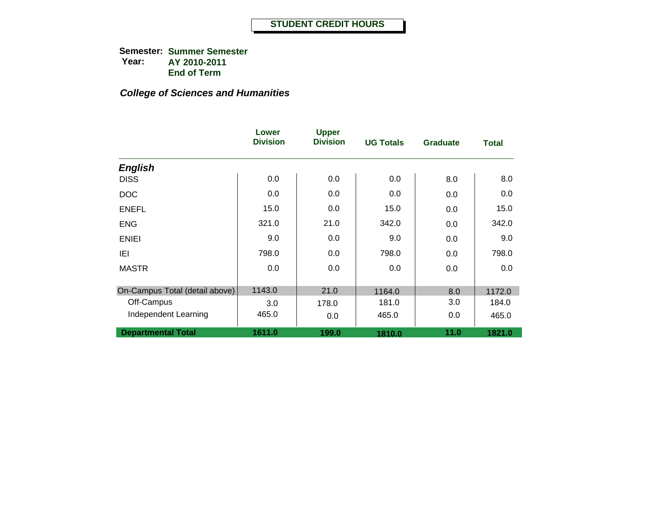|                                | Lower<br><b>Division</b> | <b>Upper</b><br><b>Division</b> | <b>UG Totals</b> | <b>Graduate</b> | <b>Total</b> |
|--------------------------------|--------------------------|---------------------------------|------------------|-----------------|--------------|
| <b>English</b>                 |                          |                                 |                  |                 |              |
| <b>DISS</b>                    | 0.0                      | 0.0                             | 0.0              | 8.0             | 8.0          |
| <b>DOC</b>                     | 0.0                      | 0.0                             | 0.0              | 0.0             | 0.0          |
| <b>ENEFL</b>                   | 15.0                     | 0.0                             | 15.0             | 0.0             | 15.0         |
| <b>ENG</b>                     | 321.0                    | 21.0                            | 342.0            | 0.0             | 342.0        |
| <b>ENIEI</b>                   | 9.0                      | 0.0                             | 9.0              | 0.0             | 9.0          |
| IEI                            | 798.0                    | 0.0                             | 798.0            | 0.0             | 798.0        |
| <b>MASTR</b>                   | 0.0                      | 0.0                             | 0.0              | 0.0             | 0.0          |
| On-Campus Total (detail above) | 1143.0                   | 21.0                            | 1164.0           | 8.0             | 1172.0       |
| Off-Campus                     | 3.0                      | 178.0                           | 181.0            | 3.0             | 184.0        |
| Independent Learning           | 465.0                    | 0.0                             | 465.0            | 0.0             | 465.0        |
| <b>Departmental Total</b>      | 1611.0                   | 199.0                           | 1810.0           | 11.0            | 1821.0       |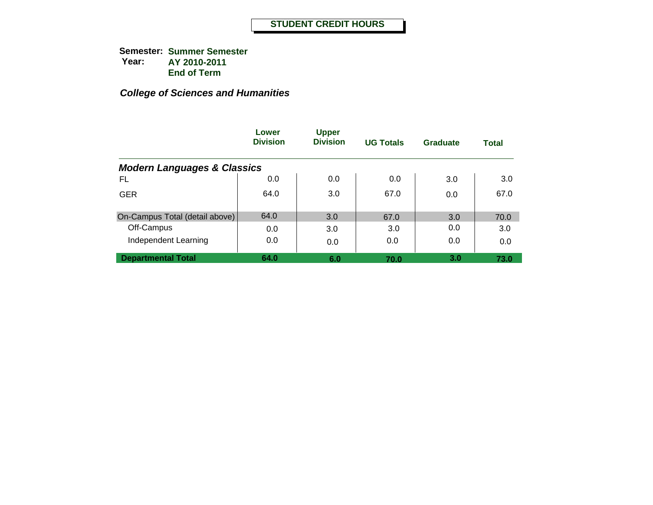|                                        | Lower<br><b>Division</b> | <b>Upper</b><br><b>Division</b> | <b>UG Totals</b> | <b>Graduate</b> | <b>Total</b> |
|----------------------------------------|--------------------------|---------------------------------|------------------|-----------------|--------------|
| <b>Modern Languages &amp; Classics</b> |                          |                                 |                  |                 |              |
| FL                                     | 0.0                      | 0.0                             | 0.0              | 3.0             | 3.0          |
| <b>GER</b>                             | 64.0                     | 3.0                             | 67.0             | 0.0             | 67.0         |
| On-Campus Total (detail above)         | 64.0                     | 3.0                             | 67.0             | 3.0             | 70.0         |
| Off-Campus                             | 0.0                      | 3.0                             | 3.0              | 0.0             | 3.0          |
| Independent Learning                   | 0.0                      | 0.0                             | 0.0              | 0.0             | 0.0          |
| <b>Departmental Total</b>              | 64.0                     | 6.0                             | 70.0             | 3.0             | 73.0         |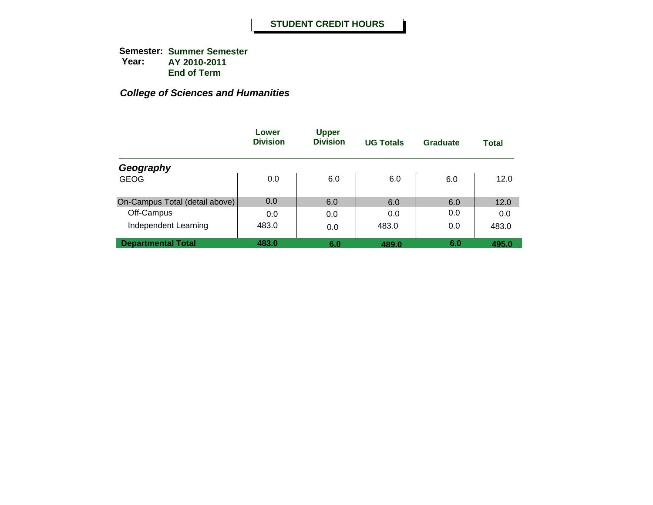|                                | Lower<br><b>Division</b> | <b>Upper</b><br><b>Division</b> | <b>UG Totals</b> | Graduate | <b>Total</b> |
|--------------------------------|--------------------------|---------------------------------|------------------|----------|--------------|
| Geography                      |                          |                                 |                  |          |              |
| <b>GEOG</b>                    | 0.0                      | 6.0                             | 6.0              | 6.0      | 12.0         |
| On-Campus Total (detail above) | 0.0                      | 6.0                             | 6.0              | 6.0      | 12.0         |
| Off-Campus                     | 0.0                      | 0.0                             | 0.0              | 0.0      | 0.0          |
| Independent Learning           | 483.0                    | 0.0                             | 483.0            | 0.0      | 483.0        |
| <b>Departmental Total</b>      | 483.0                    | 6.0                             | 489.0            | 6.0      | 495.0        |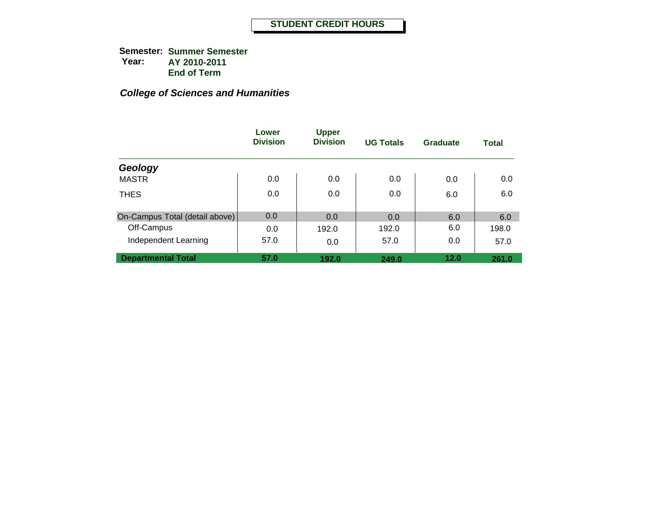|                                | Lower<br><b>Division</b> | <b>Upper</b><br><b>Division</b> | <b>UG Totals</b> | <b>Graduate</b> | <b>Total</b> |
|--------------------------------|--------------------------|---------------------------------|------------------|-----------------|--------------|
| Geology                        |                          |                                 |                  |                 |              |
| <b>MASTR</b>                   | 0.0                      | 0.0                             | 0.0              | 0.0             | 0.0          |
| <b>THES</b>                    | 0.0                      | 0.0                             | 0.0              | 6.0             | 6.0          |
| On-Campus Total (detail above) | 0.0                      | 0.0                             | 0.0              | 6.0             | 6.0          |
| Off-Campus                     | 0.0                      | 192.0                           | 192.0            | 6.0             | 198.0        |
| Independent Learning           | 57.0                     | 0.0                             | 57.0             | 0.0             | 57.0         |
| <b>Departmental Total</b>      | 57.0                     | 192.0                           | 249.0            | 12.0            | 261.0        |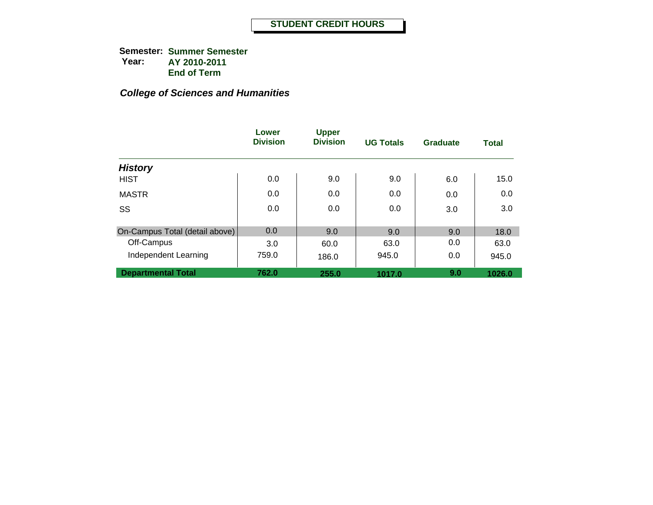|                                | Lower<br><b>Division</b> | <b>Upper</b><br><b>Division</b> | <b>UG Totals</b> | Graduate | <b>Total</b> |
|--------------------------------|--------------------------|---------------------------------|------------------|----------|--------------|
| <b>History</b>                 |                          |                                 |                  |          |              |
| <b>HIST</b>                    | 0.0                      | 9.0                             | 9.0              | 6.0      | 15.0         |
| <b>MASTR</b>                   | 0.0                      | 0.0                             | 0.0              | 0.0      | 0.0          |
| SS                             | 0.0                      | 0.0                             | 0.0              | 3.0      | 3.0          |
| On-Campus Total (detail above) | 0.0                      | 9.0                             | 9.0              | 9.0      | 18.0         |
| Off-Campus                     | 3.0                      | 60.0                            | 63.0             | 0.0      | 63.0         |
| Independent Learning           | 759.0                    | 186.0                           | 945.0            | 0.0      | 945.0        |
| <b>Departmental Total</b>      | 762.0                    | 255.0                           | 1017.0           | 9.0      | 1026.0       |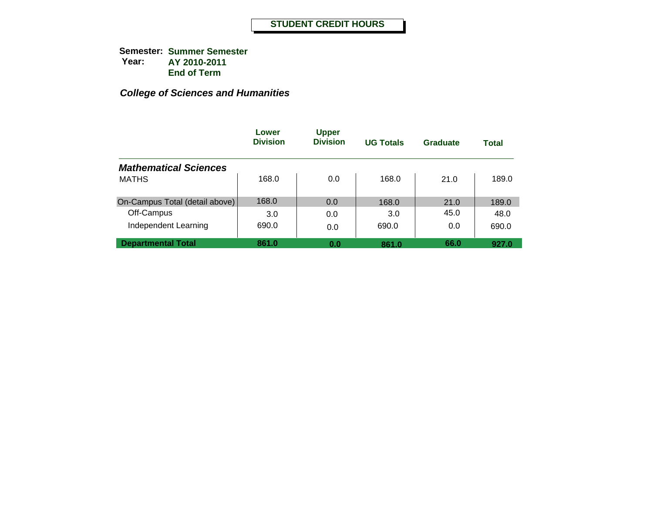|                                | Lower<br><b>Division</b> | <b>Upper</b><br><b>Division</b> | <b>UG Totals</b> | Graduate | <b>Total</b> |
|--------------------------------|--------------------------|---------------------------------|------------------|----------|--------------|
| <b>Mathematical Sciences</b>   |                          |                                 |                  |          |              |
| <b>MATHS</b>                   | 168.0                    | 0.0                             | 168.0            | 21.0     | 189.0        |
| On-Campus Total (detail above) | 168.0                    | 0.0                             | 168.0            | 21.0     | 189.0        |
| Off-Campus                     | 3.0                      | 0.0                             | 3.0              | 45.0     | 48.0         |
| Independent Learning           | 690.0                    | 0.0                             | 690.0            | 0.0      | 690.0        |
| <b>Departmental Total</b>      | 861.0                    | 0.0                             | 861.0            | 66.0     | 927.0        |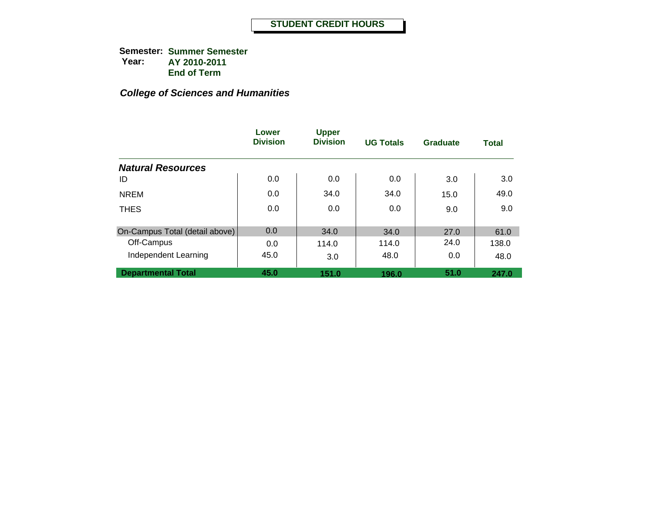|                                | Lower<br><b>Division</b> | <b>Upper</b><br><b>Division</b> | <b>UG Totals</b> | Graduate | <b>Total</b> |
|--------------------------------|--------------------------|---------------------------------|------------------|----------|--------------|
| <b>Natural Resources</b>       |                          |                                 |                  |          |              |
| ID                             | 0.0                      | 0.0                             | 0.0              | 3.0      | 3.0          |
| <b>NREM</b>                    | 0.0                      | 34.0                            | 34.0             | 15.0     | 49.0         |
| <b>THES</b>                    | 0.0                      | 0.0                             | 0.0              | 9.0      | 9.0          |
| On-Campus Total (detail above) | 0.0                      | 34.0                            | 34.0             | 27.0     | 61.0         |
| Off-Campus                     | 0.0                      | 114.0                           | 114.0            | 24.0     | 138.0        |
| Independent Learning           | 45.0                     | 3.0                             | 48.0             | 0.0      | 48.0         |
| <b>Departmental Total</b>      | 45.0                     | 151.0                           | 196.0            | 51.0     | 247.0        |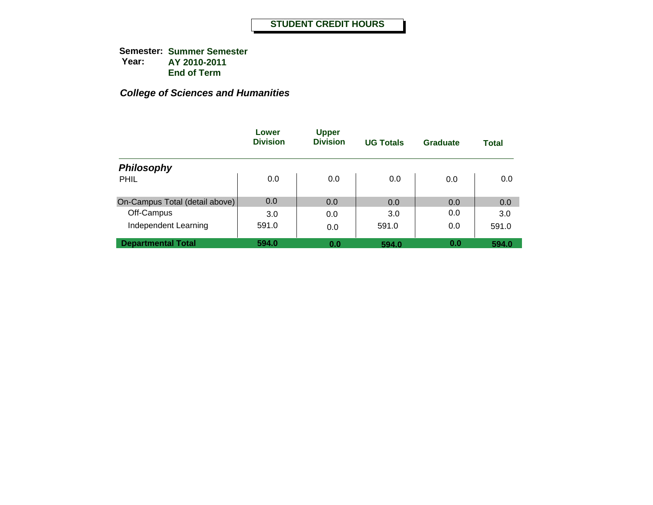|                                | Lower<br><b>Division</b> | <b>Upper</b><br><b>Division</b> | <b>UG Totals</b> | Graduate | Total |
|--------------------------------|--------------------------|---------------------------------|------------------|----------|-------|
| <b>Philosophy</b>              |                          |                                 |                  |          |       |
| PHIL                           | 0.0                      | 0.0                             | 0.0              | 0.0      | 0.0   |
| On-Campus Total (detail above) | 0.0                      | 0.0                             | 0.0              | 0.0      | 0.0   |
| Off-Campus                     | 3.0                      | 0.0                             | 3.0              | 0.0      | 3.0   |
| Independent Learning           | 591.0                    | 0.0                             | 591.0            | 0.0      | 591.0 |
| <b>Departmental Total</b>      | 594.0                    | 0.0                             | 594.0            | 0.0      | 594.0 |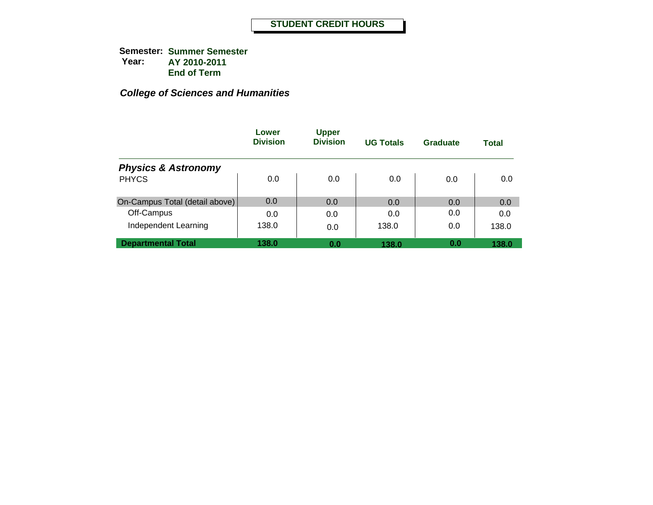|                                | Lower<br><b>Division</b> | <b>Upper</b><br><b>Division</b> | <b>UG Totals</b> | Graduate | Total |
|--------------------------------|--------------------------|---------------------------------|------------------|----------|-------|
| <b>Physics &amp; Astronomy</b> |                          |                                 |                  |          |       |
| <b>PHYCS</b>                   | 0.0                      | 0.0                             | 0.0              | 0.0      | 0.0   |
| On-Campus Total (detail above) | 0.0                      | 0.0                             | 0.0              | 0.0      | 0.0   |
| Off-Campus                     | 0.0                      | 0.0                             | 0.0              | 0.0      | 0.0   |
| Independent Learning           | 138.0                    | 0.0                             | 138.0            | 0.0      | 138.0 |
| <b>Departmental Total</b>      | 138.0                    | 0.0                             | 138.0            | 0.0      | 138.0 |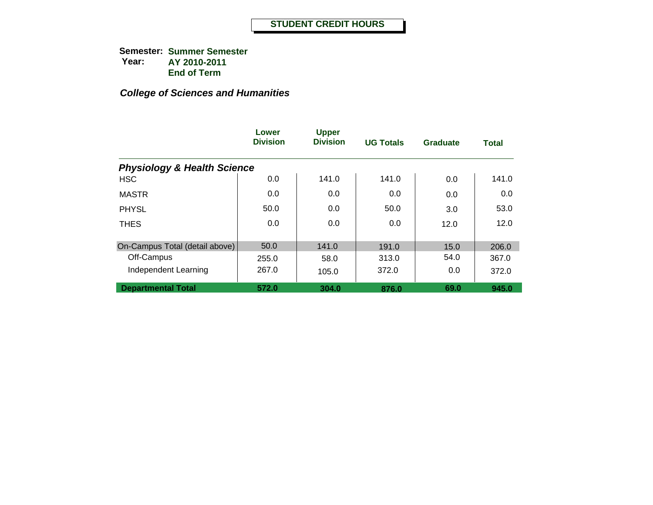|                                        | Lower<br><b>Division</b> | <b>Upper</b><br><b>Division</b> | <b>UG Totals</b> | <b>Graduate</b> | <b>Total</b> |
|----------------------------------------|--------------------------|---------------------------------|------------------|-----------------|--------------|
| <b>Physiology &amp; Health Science</b> |                          |                                 |                  |                 |              |
| <b>HSC</b>                             | 0.0                      | 141.0                           | 141.0            | 0.0             | 141.0        |
| <b>MASTR</b>                           | 0.0                      | 0.0                             | 0.0              | 0.0             | 0.0          |
| <b>PHYSL</b>                           | 50.0                     | 0.0                             | 50.0             | 3.0             | 53.0         |
| <b>THES</b>                            | 0.0                      | 0.0                             | 0.0              | 12.0            | 12.0         |
| On-Campus Total (detail above)         | 50.0                     | 141.0                           | 191.0            | 15.0            | 206.0        |
| Off-Campus                             | 255.0                    | 58.0                            | 313.0            | 54.0            | 367.0        |
| Independent Learning                   | 267.0                    | 105.0                           | 372.0            | 0.0             | 372.0        |
| <b>Departmental Total</b>              | 572.0                    | 304.0                           | 876.0            | 69.0            | 945.0        |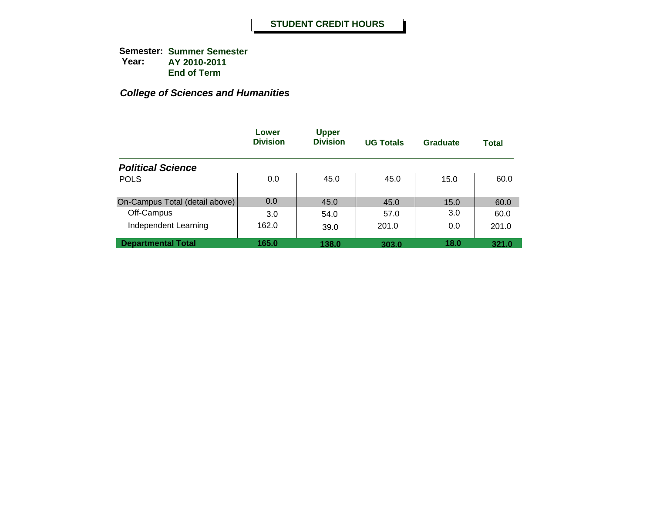|                                | Lower<br><b>Division</b> | <b>Upper</b><br><b>Division</b> | <b>UG Totals</b> | Graduate | Total |
|--------------------------------|--------------------------|---------------------------------|------------------|----------|-------|
| <b>Political Science</b>       |                          |                                 |                  |          |       |
| <b>POLS</b>                    | 0.0                      | 45.0                            | 45.0             | 15.0     | 60.0  |
| On-Campus Total (detail above) | 0.0                      | 45.0                            | 45.0             | 15.0     | 60.0  |
| Off-Campus                     | 3.0                      | 54.0                            | 57.0             | 3.0      | 60.0  |
| Independent Learning           | 162.0                    | 39.0                            | 201.0            | 0.0      | 201.0 |
| <b>Departmental Total</b>      | 165.0                    | 138.0                           | 303.0            | 18.0     | 321.0 |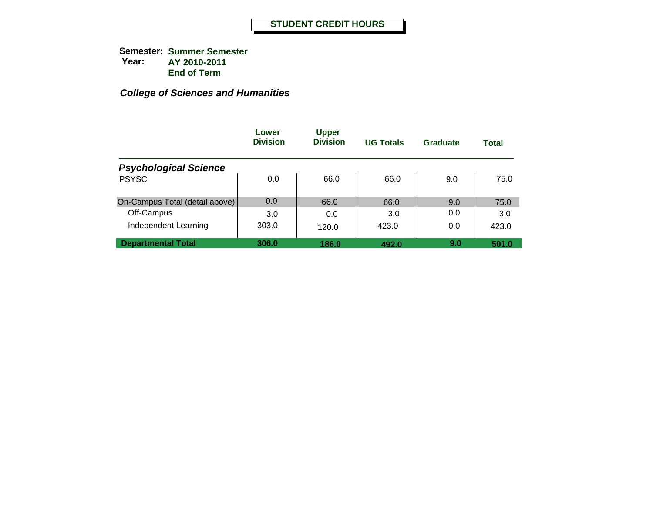|                                | Lower<br><b>Division</b> | <b>Upper</b><br><b>Division</b> | <b>UG Totals</b> | Graduate | <b>Total</b> |
|--------------------------------|--------------------------|---------------------------------|------------------|----------|--------------|
| <b>Psychological Science</b>   |                          |                                 |                  |          |              |
| <b>PSYSC</b>                   | 0.0                      | 66.0                            | 66.0             | 9.0      | 75.0         |
| On-Campus Total (detail above) | 0.0                      | 66.0                            | 66.0             | 9.0      | 75.0         |
| Off-Campus                     | 3.0                      | 0.0                             | 3.0              | 0.0      | 3.0          |
| Independent Learning           | 303.0                    | 120.0                           | 423.0            | 0.0      | 423.0        |
| <b>Departmental Total</b>      | 306.0                    | 186.0                           | 492.0            | 9.0      | 501.0        |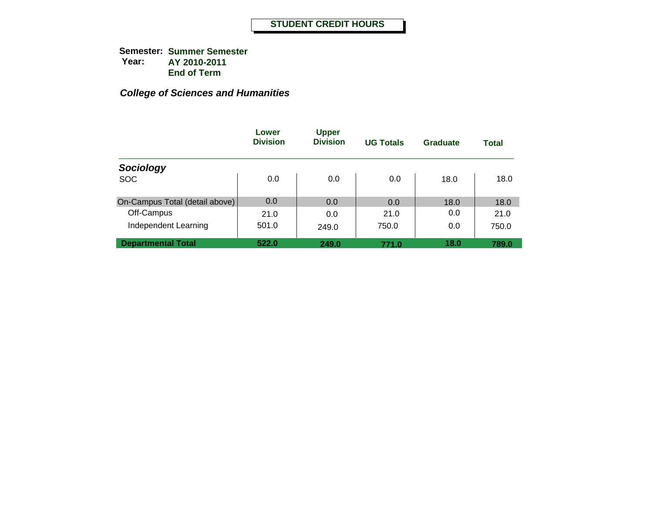|                                | Lower<br><b>Division</b> | <b>Upper</b><br><b>Division</b> | <b>UG Totals</b> | Graduate | Total |
|--------------------------------|--------------------------|---------------------------------|------------------|----------|-------|
| Sociology                      |                          |                                 |                  |          |       |
| <b>SOC</b>                     | 0.0                      | 0.0                             | 0.0              | 18.0     | 18.0  |
| On-Campus Total (detail above) | 0.0                      | 0.0                             | 0.0              | 18.0     | 18.0  |
| Off-Campus                     | 21.0                     | 0.0                             | 21.0             | 0.0      | 21.0  |
| Independent Learning           | 501.0                    | 249.0                           | 750.0            | 0.0      | 750.0 |
| <b>Departmental Total</b>      | 522.0                    | 249.0                           | 771.0            | 18.0     | 789.0 |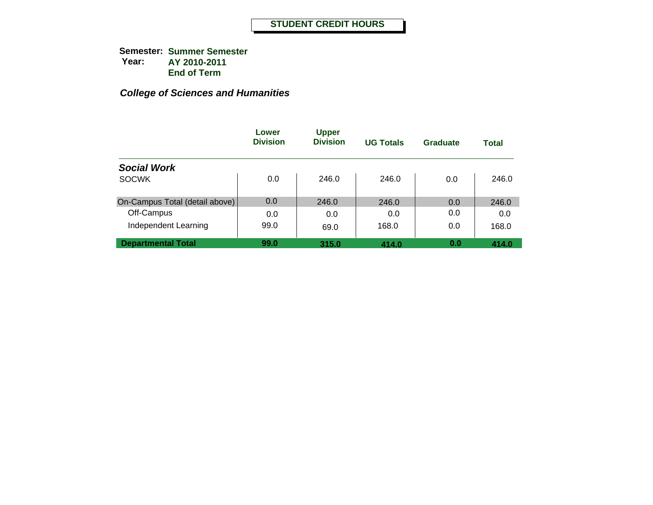|                                | Lower<br><b>Division</b> | <b>Upper</b><br><b>Division</b> | <b>UG Totals</b> | Graduate | <b>Total</b> |
|--------------------------------|--------------------------|---------------------------------|------------------|----------|--------------|
| <b>Social Work</b>             |                          |                                 |                  |          |              |
| <b>SOCWK</b>                   | 0.0                      | 246.0                           | 246.0            | 0.0      | 246.0        |
| On-Campus Total (detail above) | 0.0                      | 246.0                           | 246.0            | 0.0      | 246.0        |
| Off-Campus                     | 0.0                      | 0.0                             | 0.0              | 0.0      | 0.0          |
| Independent Learning           | 99.0                     | 69.0                            | 168.0            | 0.0      | 168.0        |
| <b>Departmental Total</b>      | 99.0                     | 315.0                           | 414.0            | 0.0      | 414.0        |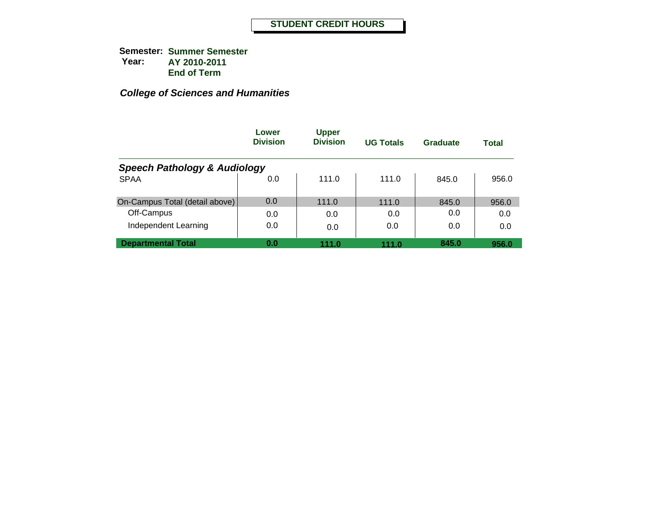|                                         | Lower<br><b>Division</b> | <b>Upper</b><br><b>Division</b> | <b>UG Totals</b> | Graduate | Total |
|-----------------------------------------|--------------------------|---------------------------------|------------------|----------|-------|
| <b>Speech Pathology &amp; Audiology</b> |                          |                                 |                  |          |       |
| <b>SPAA</b>                             | 0.0                      | 111.0                           | 111.0            | 845.0    | 956.0 |
| On-Campus Total (detail above)          | 0.0                      | 111.0                           | 111.0            | 845.0    | 956.0 |
| Off-Campus                              | 0.0                      | 0.0                             | 0.0              | 0.0      | 0.0   |
| Independent Learning                    | 0.0                      | 0.0                             | 0.0              | 0.0      | 0.0   |
| <b>Departmental Total</b>               | 0.0                      | 111.0                           | 111.0            | 845.0    | 956.0 |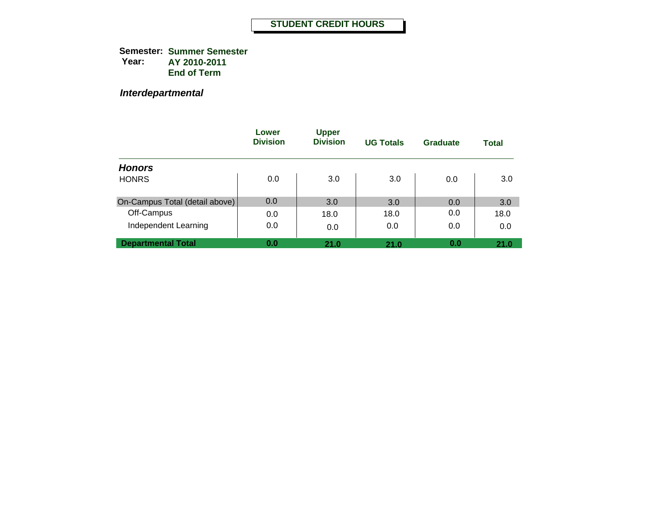*Interdepartmental*

|                                | Lower<br><b>Division</b> | <b>Upper</b><br><b>Division</b> | <b>UG Totals</b> | Graduate | Total |
|--------------------------------|--------------------------|---------------------------------|------------------|----------|-------|
| <b>Honors</b>                  |                          |                                 |                  |          |       |
| <b>HONRS</b>                   | 0.0                      | 3.0                             | 3.0              | 0.0      | 3.0   |
| On-Campus Total (detail above) | 0.0                      | 3.0                             | 3.0              | 0.0      | 3.0   |
| Off-Campus                     | 0.0                      | 18.0                            | 18.0             | 0.0      | 18.0  |
| Independent Learning           | 0.0                      | 0.0                             | 0.0              | 0.0      | 0.0   |
| <b>Departmental Total</b>      | 0.0                      | 21.0                            | 21.0             | 0.0      | 21.0  |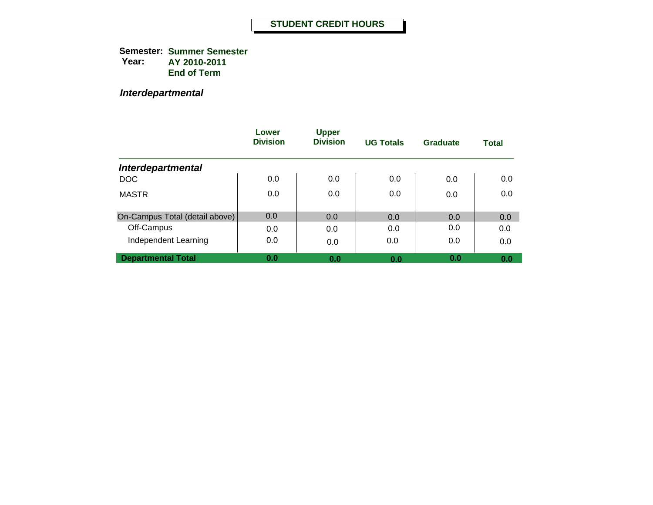**Semester: Summer Semester Year: AY 2010-2011 End of Term**

*Interdepartmental*

|                                | Lower<br><b>Division</b> | <b>Upper</b><br><b>Division</b> | <b>UG Totals</b> | Graduate | <b>Total</b> |
|--------------------------------|--------------------------|---------------------------------|------------------|----------|--------------|
| <b>Interdepartmental</b>       |                          |                                 |                  |          |              |
| <b>DOC</b>                     | 0.0                      | 0.0                             | 0.0              | 0.0      | 0.0          |
| <b>MASTR</b>                   | 0.0                      | 0.0                             | 0.0              | 0.0      | 0.0          |
| On-Campus Total (detail above) | 0.0                      | 0.0                             | 0.0              | 0.0      | 0.0          |
| Off-Campus                     | 0.0                      | 0.0                             | 0.0              | 0.0      | 0.0          |
| Independent Learning           | 0.0                      | 0.0                             | 0.0              | 0.0      | 0.0          |
| <b>Departmental Total</b>      | 0.0                      | 0.0                             | 0.0              | 0.0      | 0.0          |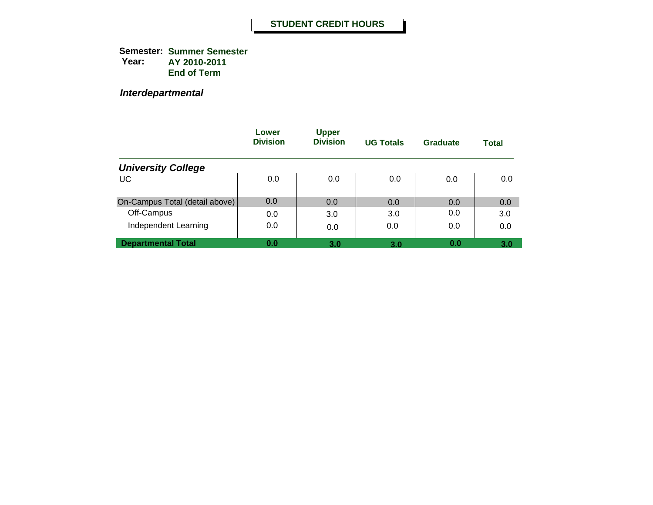**Semester: Summer Semester Year: AY 2010-2011 End of Term**

*Interdepartmental*

|                                | Lower<br><b>Division</b> | <b>Upper</b><br><b>Division</b> | <b>UG Totals</b> | Graduate | <b>Total</b> |
|--------------------------------|--------------------------|---------------------------------|------------------|----------|--------------|
| <b>University College</b>      |                          |                                 |                  |          |              |
| <b>UC</b>                      | 0.0                      | 0.0                             | 0.0              | 0.0      | 0.0          |
| On-Campus Total (detail above) | 0.0                      | 0.0                             | 0.0              | 0.0      | 0.0          |
| Off-Campus                     | 0.0                      | 3.0                             | 3.0              | 0.0      | 3.0          |
| Independent Learning           | 0.0                      | 0.0                             | 0.0              | 0.0      | 0.0          |
| <b>Departmental Total</b>      | 0.0                      | 3.0                             | 3.0              | 0.0      | 3.0          |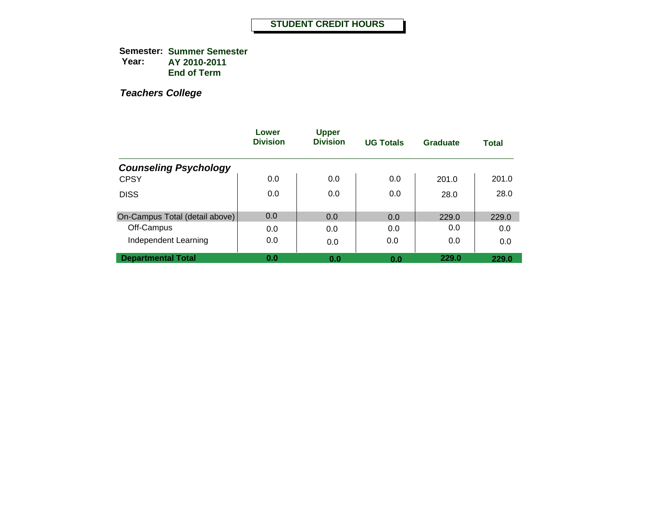**Semester: Summer Semester Year: AY 2010-2011 End of Term**

|                                | Lower<br><b>Division</b> | <b>Upper</b><br><b>Division</b> | <b>UG Totals</b> | <b>Graduate</b> | <b>Total</b> |
|--------------------------------|--------------------------|---------------------------------|------------------|-----------------|--------------|
| <b>Counseling Psychology</b>   |                          |                                 |                  |                 |              |
| <b>CPSY</b>                    | 0.0                      | 0.0                             | 0.0              | 201.0           | 201.0        |
| <b>DISS</b>                    | 0.0                      | 0.0                             | 0.0              | 28.0            | 28.0         |
| On-Campus Total (detail above) | 0.0                      | 0.0                             | 0.0              | 229.0           | 229.0        |
| Off-Campus                     | 0.0                      | 0.0                             | 0.0              | 0.0             | 0.0          |
| Independent Learning           | 0.0                      | 0.0                             | 0.0              | 0.0             | 0.0          |
| <b>Departmental Total</b>      | 0.0                      | 0.0                             | 0.0              | 229.0           | 229.0        |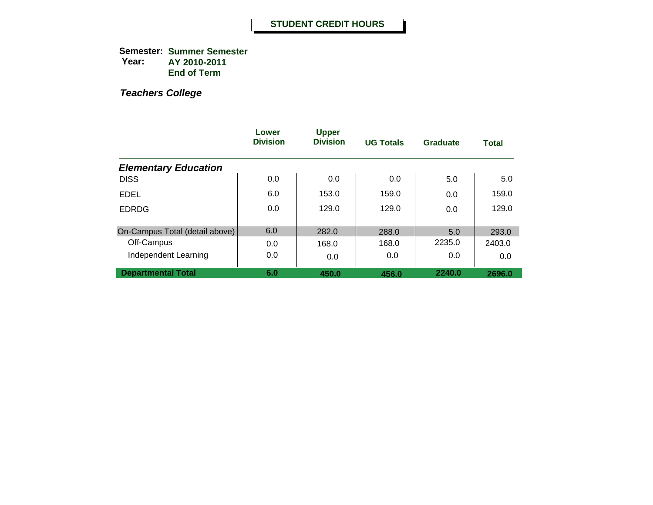**Semester: Summer Semester Year: AY 2010-2011 End of Term**

|                                | Lower<br><b>Division</b> | <b>Upper</b><br><b>Division</b> | <b>UG Totals</b> | Graduate | <b>Total</b> |
|--------------------------------|--------------------------|---------------------------------|------------------|----------|--------------|
| <b>Elementary Education</b>    |                          |                                 |                  |          |              |
| <b>DISS</b>                    | 0.0                      | 0.0                             | 0.0              | 5.0      | 5.0          |
| <b>EDEL</b>                    | 6.0                      | 153.0                           | 159.0            | 0.0      | 159.0        |
| <b>EDRDG</b>                   | 0.0                      | 129.0                           | 129.0            | 0.0      | 129.0        |
| On-Campus Total (detail above) | 6.0                      | 282.0                           | 288.0            | 5.0      | 293.0        |
| Off-Campus                     | 0.0                      | 168.0                           | 168.0            | 2235.0   | 2403.0       |
| Independent Learning           | 0.0                      | 0.0                             | 0.0              | 0.0      | 0.0          |
| <b>Departmental Total</b>      | 6.0                      | 450.0                           | 456.0            | 2240.0   | 2696.0       |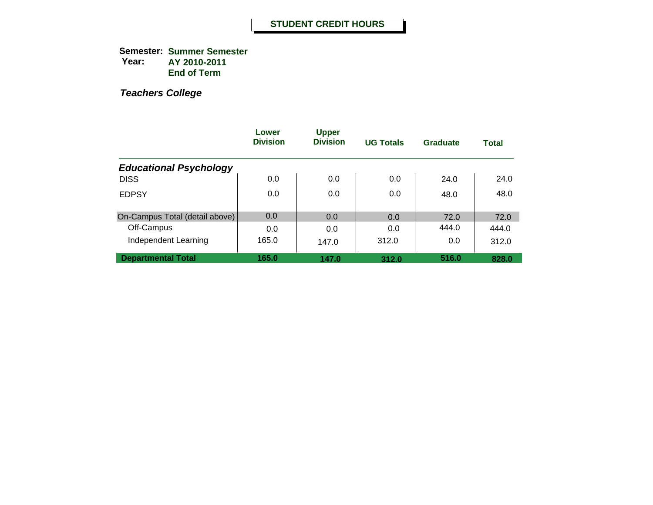**Semester: Summer Semester Year: AY 2010-2011 End of Term**

|                                | Lower<br><b>Division</b> | <b>Upper</b><br><b>Division</b> | <b>UG Totals</b> | Graduate | <b>Total</b> |
|--------------------------------|--------------------------|---------------------------------|------------------|----------|--------------|
| <b>Educational Psychology</b>  |                          |                                 |                  |          |              |
| <b>DISS</b>                    | 0.0                      | 0.0                             | 0.0              | 24.0     | 24.0         |
| <b>EDPSY</b>                   | 0.0                      | 0.0                             | 0.0              | 48.0     | 48.0         |
| On-Campus Total (detail above) | 0.0                      | 0.0                             | 0.0              | 72.0     | 72.0         |
| Off-Campus                     | 0.0                      | 0.0                             | 0.0              | 444.0    | 444.0        |
| Independent Learning           | 165.0                    | 147.0                           | 312.0            | 0.0      | 312.0        |
| <b>Departmental Total</b>      | 165.0                    | 147.0                           | 312.0            | 516.0    | 828.0        |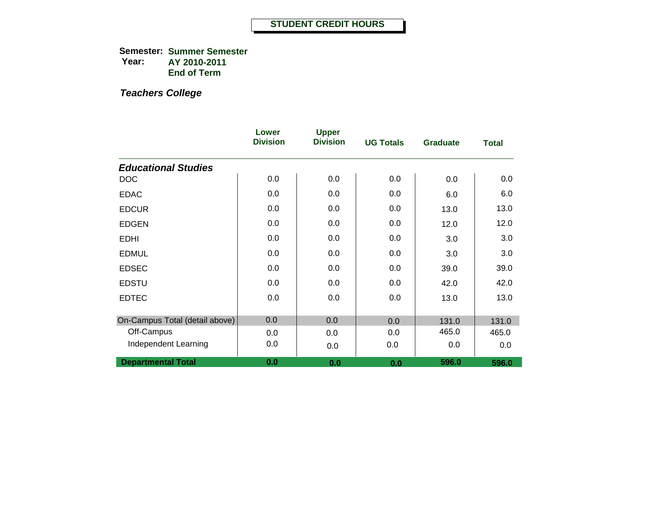**Semester: Summer Semester Year: AY 2010-2011 End of Term**

|                                | Lower<br><b>Division</b> | <b>Upper</b><br><b>Division</b> | <b>UG Totals</b> | <b>Graduate</b> | <b>Total</b> |
|--------------------------------|--------------------------|---------------------------------|------------------|-----------------|--------------|
| <b>Educational Studies</b>     |                          |                                 |                  |                 |              |
| <b>DOC</b>                     | 0.0                      | 0.0                             | 0.0              | 0.0             | 0.0          |
| <b>EDAC</b>                    | 0.0                      | 0.0                             | 0.0              | 6.0             | 6.0          |
| <b>EDCUR</b>                   | 0.0                      | 0.0                             | 0.0              | 13.0            | 13.0         |
| <b>EDGEN</b>                   | 0.0                      | 0.0                             | 0.0              | 12.0            | 12.0         |
| <b>EDHI</b>                    | 0.0                      | 0.0                             | 0.0              | 3.0             | 3.0          |
| <b>EDMUL</b>                   | 0.0                      | 0.0                             | 0.0              | 3.0             | 3.0          |
| <b>EDSEC</b>                   | 0.0                      | 0.0                             | 0.0              | 39.0            | 39.0         |
| <b>EDSTU</b>                   | 0.0                      | 0.0                             | 0.0              | 42.0            | 42.0         |
| <b>EDTEC</b>                   | 0.0                      | 0.0                             | 0.0              | 13.0            | 13.0         |
|                                |                          |                                 |                  |                 |              |
| On-Campus Total (detail above) | 0.0                      | 0.0                             | 0.0              | 131.0           | 131.0        |
| Off-Campus                     | 0.0                      | 0.0                             | 0.0              | 465.0           | 465.0        |
| Independent Learning           | 0.0                      | 0.0                             | 0.0              | 0.0             | 0.0          |
| <b>Departmental Total</b>      | 0.0                      | 0.0                             | 0.0              | 596.0           | 596.0        |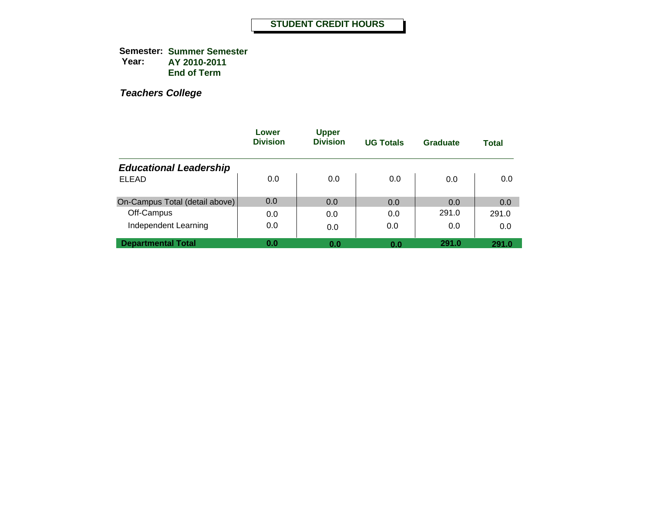**Semester: Summer Semester Year: AY 2010-2011 End of Term**

|                                | Lower<br><b>Division</b> | <b>Upper</b><br><b>Division</b> | <b>UG Totals</b> | Graduate | Total |
|--------------------------------|--------------------------|---------------------------------|------------------|----------|-------|
| <b>Educational Leadership</b>  |                          |                                 |                  |          |       |
| <b>ELEAD</b>                   | 0.0                      | 0.0                             | 0.0              | 0.0      | 0.0   |
| On-Campus Total (detail above) | 0.0                      | 0.0                             | 0.0              | 0.0      | 0.0   |
| Off-Campus                     | 0.0                      | 0.0                             | 0.0              | 291.0    | 291.0 |
| Independent Learning           | 0.0                      | 0.0                             | 0.0              | 0.0      | 0.0   |
| <b>Departmental Total</b>      | 0.0                      | 0.0                             | 0.0              | 291.0    | 291.0 |